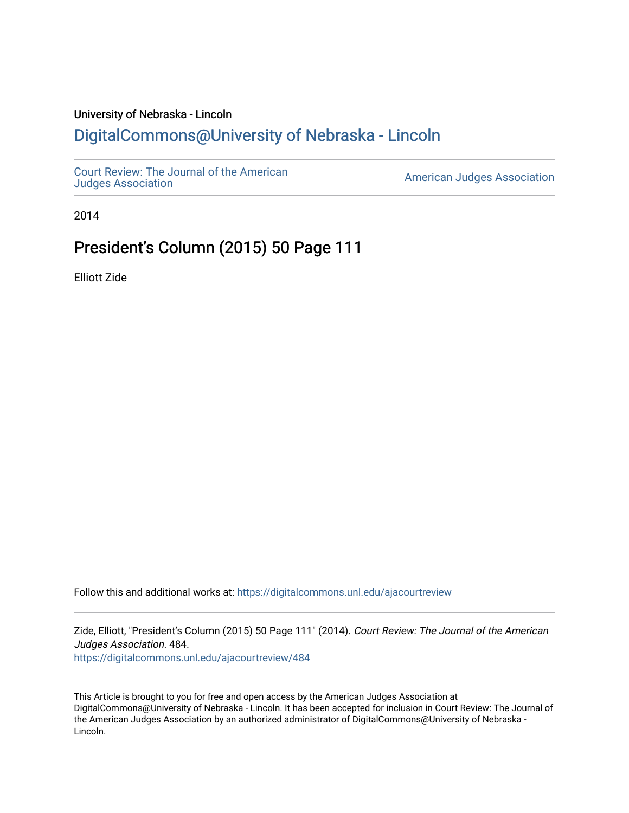## University of Nebraska - Lincoln [DigitalCommons@University of Nebraska - Lincoln](https://digitalcommons.unl.edu/)

[Court Review: The Journal of the American](https://digitalcommons.unl.edu/ajacourtreview)

[Judges Association](https://digitalcommons.unl.edu/ajacourtreview) [American Judges Association](https://digitalcommons.unl.edu/amjudgesassn) 

2014

## President's Column (2015) 50 Page 111

Elliott Zide

Follow this and additional works at: [https://digitalcommons.unl.edu/ajacourtreview](https://digitalcommons.unl.edu/ajacourtreview?utm_source=digitalcommons.unl.edu%2Fajacourtreview%2F484&utm_medium=PDF&utm_campaign=PDFCoverPages) 

Zide, Elliott, "President's Column (2015) 50 Page 111" (2014). Court Review: The Journal of the American Judges Association. 484.

[https://digitalcommons.unl.edu/ajacourtreview/484](https://digitalcommons.unl.edu/ajacourtreview/484?utm_source=digitalcommons.unl.edu%2Fajacourtreview%2F484&utm_medium=PDF&utm_campaign=PDFCoverPages) 

This Article is brought to you for free and open access by the American Judges Association at DigitalCommons@University of Nebraska - Lincoln. It has been accepted for inclusion in Court Review: The Journal of the American Judges Association by an authorized administrator of DigitalCommons@University of Nebraska -Lincoln.